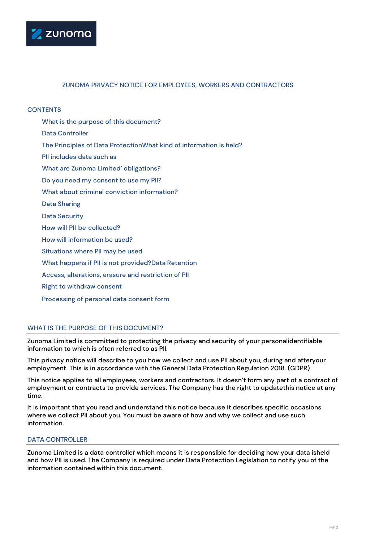

## ZUNOMA PRIVACY NOTICE FOR EMPLOYEES, WORKERS AND CONTRACTORS

### **CONTENTS**

- What is the purpose of this document?
- Data Controller
- The Principles of Data ProtectionWhat kind of information is held?
- PII includes data such as
- What are Zunoma Limited' obligations?
- Do you need my consent to use my PII?
- What about criminal conviction information?
- Data Sharing
- Data Security
- How will PII be collected?
- How will information be used?
- Situations where PII may be used
- What happens if PII is not provided?Data Retention
- Access, alterations, erasure and restriction of PII
- Right to withdraw consent
- Processing of personal data consent form

## WHAT IS THE PURPOSE OF THIS DOCUMENT?

Zunoma Limited is committed to protecting the privacy and security of your personalidentifiable information to which is often referred to as PII.

This privacy notice will describe to you how we collect and use PII about you, during and afteryour employment. This is in accordance with the General Data Protection Regulation 2018. (GDPR)

This notice applies to all employees, workers and contractors. It doesn't form any part of a contract of employment or contracts to provide services. The Company has the right to updatethis notice at any time.

It is important that you read and understand this notice because it describes specific occasions where we collect PII about you. You must be aware of how and why we collect and use such information.

## DATA CONTROLLER

Zunoma Limited is a data controller which means it is responsible for deciding how your data isheld and how PII is used. The Company is required under Data Protection Legislation to notify you of the information contained within this document.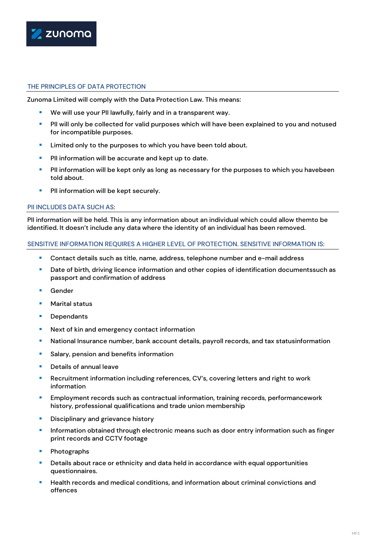

# THE PRINCIPLES OF DATA PROTECTION

Zunoma Limited will comply with the Data Protection Law. This means:

- We will use your PII lawfully, fairly and in a transparent way.
- **PII** will only be collected for valid purposes which will have been explained to you and notused for incompatible purposes.
- **EXTER 1** Limited only to the purposes to which you have been told about.
- **PII** information will be accurate and kept up to date.
- **PIII** information will be kept only as long as necessary for the purposes to which you havebeen told about.
- **PII** information will be kept securely.

### PII INCLUDES DATA SUCH AS:

PII information will be held. This is any information about an individual which could allow themto be identified. It doesn't include any data where the identity of an individual has been removed.

### SENSITIVE INFORMATION REQUIRES A HIGHER LEVEL OF PROTECTION. SENSITIVE INFORMATION IS:

- Contact details such as title, name, address, telephone number and e-mail address
- **Date of birth, driving licence information and other copies of identification documentssuch as** passport and confirmation of address
- Gender
- **Marital status**
- **Dependants**
- **Next of kin and emergency contact information**
- National Insurance number, bank account details, payroll records, and tax statusinformation
- **Salary, pension and benefits information**
- Details of annual leave
- **Recruitment information including references, CV's, covering letters and right to work** information
- **Employment records such as contractual information, training records, performancework** history, professional qualifications and trade union membership
- **Disciplinary and grievance history**
- **Information obtained through electronic means such as door entry information such as finger** print records and CCTV footage
- Photographs
- **Details about race or ethnicity and data held in accordance with equal opportunities** questionnaires.
- **Health records and medical conditions, and information about criminal convictions and** offences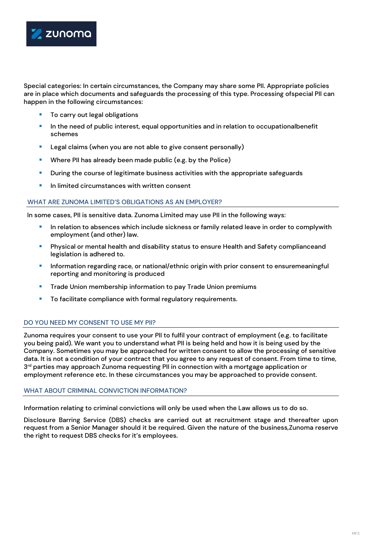

Special categories: In certain circumstances, the Company may share some PII. Appropriate policies are in place which documents and safeguards the processing of this type. Processing ofspecial PII can happen in the following circumstances:

- To carry out legal obligations
- **In the need of public interest, equal opportunities and in relation to occupationalbenefit** schemes
- Legal claims (when you are not able to give consent personally)
- **Where PII has already been made public (e.g. by the Police)**
- **During the course of legitimate business activities with the appropriate safeguards**
- In limited circumstances with written consent

### WHAT ARE ZUNOMA LIMITED'S OBLIGATIONS AS AN EMPLOYER?

In some cases, PII is sensitive data. Zunoma Limited may use PII in the following ways:

- In relation to absences which include sickness or family related leave in order to complywith employment (and other) law.
- Physical or mental health and disability status to ensure Health and Safety complianceand legislation is adhered to.
- **Information regarding race, or national/ethnic origin with prior consent to ensuremeaningful** reporting and monitoring is produced
- **Trade Union membership information to pay Trade Union premiums**
- To facilitate compliance with formal regulatory requirements.

# DO YOU NEED MY CONSENT TO USE MY PII?

Zunoma requires your consent to use your PII to fulfil your contract of employment (e.g. to facilitate you being paid). We want you to understand what PII is being held and how it is being used by the Company. Sometimes you may be approached for written consent to allow the processing of sensitive data. It is not a condition of your contract that you agree to any request of consent. From time to time, 3<sup>rd</sup> parties may approach Zunoma requesting PII in connection with a mortgage application or employment reference etc. In these circumstances you may be approached to provide consent.

### WHAT ABOUT CRIMINAL CONVICTION INFORMATION?

Information relating to criminal convictions will only be used when the Law allows us to do so.

Disclosure Barring Service (DBS) checks are carried out at recruitment stage and thereafter upon request from a Senior Manager should it be required. Given the nature of the business,Zunoma reserve the right to request DBS checks for it's employees.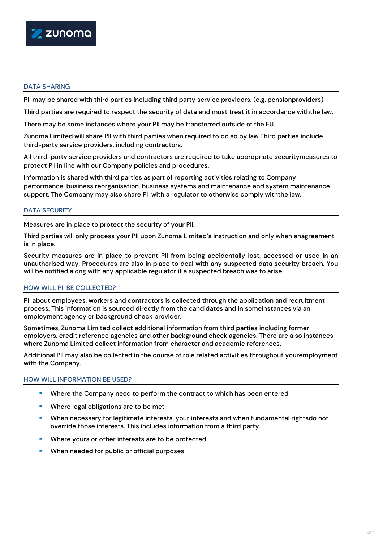

# DATA SHARING

PII may be shared with third parties including third party service providers. (e.g. pensionproviders)

Third parties are required to respect the security of data and must treat it in accordance withthe law.

There may be some instances where your PII may be transferred outside of the EU.

Zunoma Limited will share PII with third parties when required to do so by law.Third parties include third-party service providers, including contractors.

All third-party service providers and contractors are required to take appropriate securitymeasures to protect PII in line with our Company policies and procedures.

Information is shared with third parties as part of reporting activities relating to Company performance, business reorganisation, business systems and maintenance and system maintenance support. The Company may also share PII with a regulator to otherwise comply withthe law.

## DATA SECURITY

Measures are in place to protect the security of your PII.

Third parties will only process your PII upon Zunoma Limited's instruction and only when anagreement is in place.

Security measures are in place to prevent PII from being accidentally lost, accessed or used in an unauthorised way. Procedures are also in place to deal with any suspected data security breach. You will be notified along with any applicable regulator if a suspected breach was to arise.

### HOW WILL PII BE COLLECTED?

PII about employees, workers and contractors is collected through the application and recruitment process. This information is sourced directly from the candidates and in someinstances via an employment agency or background check provider.

Sometimes, Zunoma Limited collect additional information from third parties including former employers, credit reference agencies and other background check agencies. There are also instances where Zunoma Limited collect information from character and academic references.

Additional PII may also be collected in the course of role related activities throughout youremployment with the Company.

### HOW WILL INFORMATION BE USED?

- **Where the Company need to perform the contract to which has been entered**
- Where legal obligations are to be met
- **When necessary for legitimate interests, your interests and when fundamental rightsdo not** override those interests. This includes information from a third party.
- **Where yours or other interests are to be protected**
- When needed for public or official purposes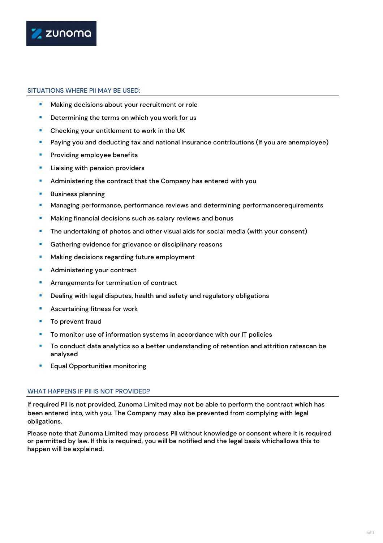

### SITUATIONS WHERE PII MAY BE USED:

- **Making decisions about your recruitment or role**
- Determining the terms on which you work for us
- Checking your entitlement to work in the UK
- **Paying you and deducting tax and national insurance contributions (If you are anemployee)**
- **Providing employee benefits**
- **Liaising with pension providers**
- **Administering the contract that the Company has entered with you**
- **Business planning**
- **Managing performance, performance reviews and determining performancerequirements**
- **Making financial decisions such as salary reviews and bonus**
- **The undertaking of photos and other visual aids for social media (with your consent)**
- **Gathering evidence for grievance or disciplinary reasons**
- **Making decisions regarding future employment**
- Administering your contract
- Arrangements for termination of contract
- **•** Dealing with legal disputes, health and safety and regulatory obligations
- **Ascertaining fitness for work**
- **To prevent fraud**
- To monitor use of information systems in accordance with our IT policies
- To conduct data analytics so a better understanding of retention and attrition ratescan be analysed
- **Equal Opportunities monitoring**

### WHAT HAPPENS IF PII IS NOT PROVIDED?

If required PII is not provided, Zunoma Limited may not be able to perform the contract which has been entered into, with you. The Company may also be prevented from complying with legal obligations.

Please note that Zunoma Limited may process PII without knowledge or consent where it is required or permitted by law. If this is required, you will be notified and the legal basis whichallows this to happen will be explained.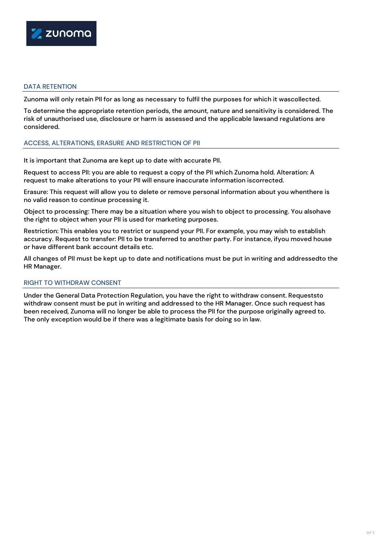

# DATA RETENTION

Zunoma will only retain PII for as long as necessary to fulfil the purposes for which it wascollected.

To determine the appropriate retention periods, the amount, nature and sensitivity is considered. The risk of unauthorised use, disclosure or harm is assessed and the applicable lawsand regulations are considered.

### ACCESS, ALTERATIONS, ERASURE AND RESTRICTION OF PII

It is important that Zunoma are kept up to date with accurate PII.

Request to access PII: you are able to request a copy of the PII which Zunoma hold. Alteration: A request to make alterations to your PII will ensure inaccurate information iscorrected.

Erasure: This request will allow you to delete or remove personal information about you whenthere is no valid reason to continue processing it.

Object to processing: There may be a situation where you wish to object to processing. You alsohave the right to object when your PII is used for marketing purposes.

Restriction: This enables you to restrict or suspend your PII. For example, you may wish to establish accuracy. Request to transfer: PII to be transferred to another party. For instance, ifyou moved house or have different bank account details etc.

All changes of PII must be kept up to date and notifications must be put in writing and addressedto the HR Manager.

### RIGHT TO WITHDRAW CONSENT

Under the General Data Protection Regulation, you have the right to withdraw consent. Requeststo withdraw consent must be put in writing and addressed to the HR Manager. Once such request has been received, Zunoma will no longer be able to process the PII for the purpose originally agreed to. The only exception would be if there was a legitimate basis for doing so in law.